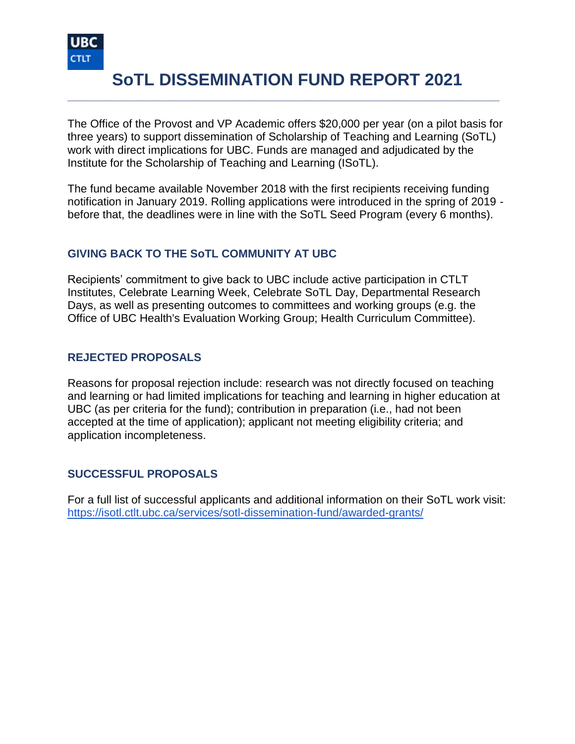

# **SoTL DISSEMINATION FUND REPORT 2021**

**\_\_\_\_\_\_\_\_\_\_\_\_\_\_\_\_\_\_\_\_\_\_\_\_\_\_\_\_\_\_\_\_\_\_\_\_\_\_\_\_\_\_\_\_\_\_\_\_\_\_\_\_\_\_\_\_\_\_\_\_\_\_\_\_\_\_\_\_\_**

The Office of the Provost and VP Academic offers \$20,000 per year (on a pilot basis for three years) to support dissemination of Scholarship of Teaching and Learning (SoTL) work with direct implications for UBC. Funds are managed and adjudicated by the Institute for the Scholarship of Teaching and Learning (ISoTL).

The fund became available November 2018 with the first recipients receiving funding notification in January 2019. Rolling applications were introduced in the spring of 2019 before that, the deadlines were in line with the SoTL Seed Program (every 6 months).

#### **GIVING BACK TO THE SoTL COMMUNITY AT UBC**

Recipients' commitment to give back to UBC include active participation in CTLT Institutes, Celebrate Learning Week, Celebrate SoTL Day, Departmental Research Days, as well as presenting outcomes to committees and working groups (e.g. the Office of UBC Health's Evaluation Working Group; Health Curriculum Committee).

#### **REJECTED PROPOSALS**

Reasons for proposal rejection include: research was not directly focused on teaching and learning or had limited implications for teaching and learning in higher education at UBC (as per criteria for the fund); contribution in preparation (i.e., had not been accepted at the time of application); applicant not meeting eligibility criteria; and application incompleteness.

#### **SUCCESSFUL PROPOSALS**

For a full list of successful applicants and additional information on their SoTL work visit: <https://isotl.ctlt.ubc.ca/services/sotl-dissemination-fund/awarded-grants/>